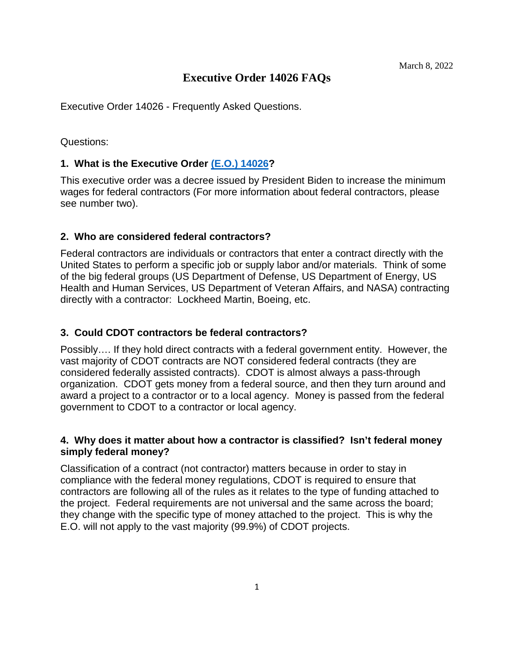# **Executive Order 14026 FAQs**

Executive Order 14026 - Frequently Asked Questions.

#### Questions:

### **1. What is the Executive Order [\(E.O.\) 14026?](https://www.dol.gov/agencies/whd/government-contracts/eo14026/frequently-asked-questions)**

This executive order was a decree issued by President Biden to increase the minimum wages for federal contractors (For more information about federal contractors, please see number two).

#### **2. Who are considered federal contractors?**

Federal contractors are individuals or contractors that enter a contract directly with the United States to perform a specific job or supply labor and/or materials. Think of some of the big federal groups (US Department of Defense, US Department of Energy, US Health and Human Services, US Department of Veteran Affairs, and NASA) contracting directly with a contractor: Lockheed Martin, Boeing, etc.

#### **3. Could CDOT contractors be federal contractors?**

Possibly…. If they hold direct contracts with a federal government entity. However, the vast majority of CDOT contracts are NOT considered federal contracts (they are considered federally assisted contracts). CDOT is almost always a pass-through organization. CDOT gets money from a federal source, and then they turn around and award a project to a contractor or to a local agency. Money is passed from the federal government to CDOT to a contractor or local agency.

### **4. Why does it matter about how a contractor is classified? Isn't federal money simply federal money?**

Classification of a contract (not contractor) matters because in order to stay in compliance with the federal money regulations, CDOT is required to ensure that contractors are following all of the rules as it relates to the type of funding attached to the project. Federal requirements are not universal and the same across the board; they change with the specific type of money attached to the project. This is why the E.O. will not apply to the vast majority (99.9%) of CDOT projects.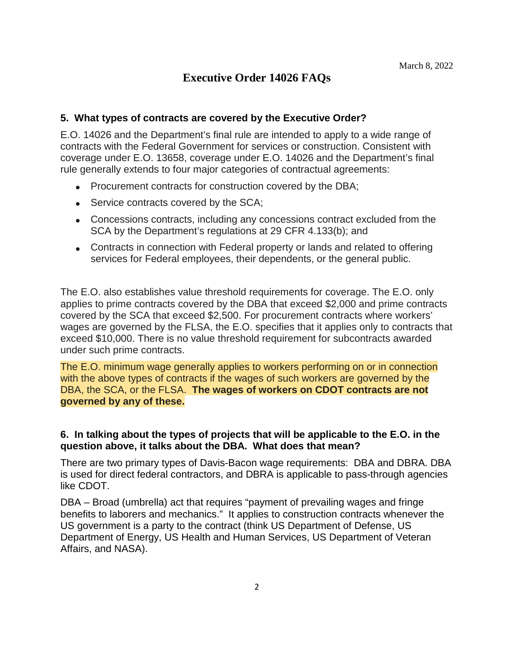# **Executive Order 14026 FAQs**

#### **5. What types of contracts are covered by the Executive Order?**

E.O. 14026 and the Department's final rule are intended to apply to a wide range of contracts with the Federal Government for services or construction. Consistent with coverage under E.O. 13658, coverage under E.O. 14026 and the Department's final rule generally extends to four major categories of contractual agreements:

- Procurement contracts for construction covered by the DBA:
- Service contracts covered by the SCA;
- Concessions contracts, including any concessions contract excluded from the SCA by the Department's regulations at 29 CFR 4.133(b); and
- Contracts in connection with Federal property or lands and related to offering services for Federal employees, their dependents, or the general public.

The E.O. also establishes value threshold requirements for coverage. The E.O. only applies to prime contracts covered by the DBA that exceed \$2,000 and prime contracts covered by the SCA that exceed \$2,500. For procurement contracts where workers' wages are governed by the FLSA, the E.O. specifies that it applies only to contracts that exceed \$10,000. There is no value threshold requirement for subcontracts awarded under such prime contracts.

The E.O. minimum wage generally applies to workers performing on or in connection with the above types of contracts if the wages of such workers are governed by the DBA, the SCA, or the FLSA. **The wages of workers on CDOT contracts are not governed by any of these.** 

### **6. In talking about the types of projects that will be applicable to the E.O. in the question above, it talks about the DBA. What does that mean?**

There are two primary types of Davis-Bacon wage requirements: DBA and DBRA. DBA is used for direct federal contractors, and DBRA is applicable to pass-through agencies like CDOT.

DBA – Broad (umbrella) act that requires "payment of prevailing wages and fringe benefits to laborers and mechanics." It applies to construction contracts whenever the US government is a party to the contract (think US Department of Defense, US Department of Energy, US Health and Human Services, US Department of Veteran Affairs, and NASA).